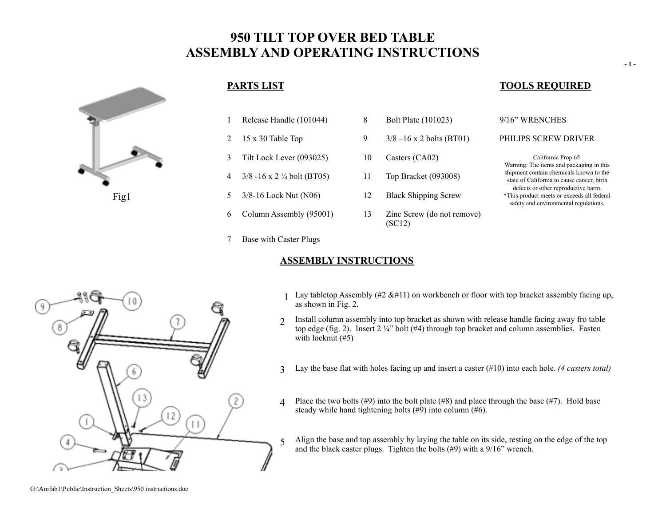# **950 TILT TOP OVER BED TABLE ASSEMBLY AND OPERATING INSTRUCTIONS**



- 1 Release Handle (101044) 8 Bolt Plate (101023) 9/16" WRENCHES
- 
- 3 Tilt Lock Lever (093025) 10 Casters (CA02) California Prop 65
- 4 3/8 -16 x 2 ¼ bolt (BT05) 11 Top Bracket (093008)
- 5 3/8-16 Lock Nut (N06) 12 Black Shipping Screw
- 6 Column Assembly (95001) 13 Zinc Screw (do not remove)
- 7 Base with Caster Plugs

### **ASSEMBLY INSTRUCTIONS**

(SC12)

# **PARTS LIST TOOLS REQUIRED**

### 2 15 x 30 Table Top 9 3/8 –16 x 2 bolts (BT01) PHILIPS SCREW DRIVER

Warning: The items and packaging in this shipment contain chemicals known to the state of California to cause cancer, birth defects or other reproductive harm. \*This product meets or exceeds all federal safety and environmental regulations.

- 
- Lay tabletop Assembly (#2  $\&$ #11) on workbench or floor with top bracket assembly facing up, as shown in Fig. 2.
- $\gamma$  Install column assembly into top bracket as shown with release handle facing away fro table top edge (fig. 2). Insert  $2\frac{1}{4}$ " bolt (#4) through top bracket and column assemblies. Fasten with locknut  $(\#5)$
- 3 Lay the base flat with holes facing up and insert a caster (#10) into each hole. *(4 casters total)*
- 4 Place the two bolts  $(\#9)$  into the bolt plate  $(\#8)$  and place through the base  $(\#7)$ . Hold base steady while hand tightening bolts  $(\#9)$  into column  $(\#6)$ .
- 5 Align the base and top assembly by laying the table on its side, resting on the edge of the top and the black caster plugs. Tighten the bolts (#9) with a 9/16" wrench.